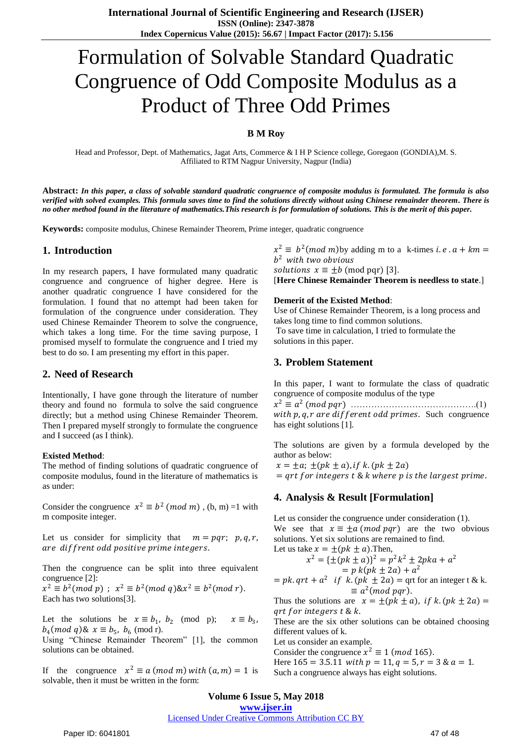# Formulation of Solvable Standard Quadratic Congruence of Odd Composite Modulus as a Product of Three Odd Primes

#### **B M Roy**

Head and Professor, Dept. of Mathematics, Jagat Arts, Commerce & I H P Science college, Goregaon (GONDIA),M. S. Affiliated to RTM Nagpur University, Nagpur (India)

**Abstract:** *In this paper, a class of solvable standard quadratic congruence of composite modulus is formulated. The formula is also verified with solved examples. This formula saves time to find the solutions directly without using Chinese remainder theorem. There is no other method found in the literature of mathematics.This research is for formulation of solutions. This is the merit of this paper.*

**Keywords:** composite modulus, Chinese Remainder Theorem, Prime integer, quadratic congruence

#### **1. Introduction**

In my research papers, I have formulated many quadratic congruence and congruence of higher degree. Here is another quadratic congruence I have considered for the formulation. I found that no attempt had been taken for formulation of the congruence under consideration. They used Chinese Remainder Theorem to solve the congruence, which takes a long time. For the time saving purpose, I promised myself to formulate the congruence and I tried my best to do so. I am presenting my effort in this paper.

#### **2. Need of Research**

Intentionally, I have gone through the literature of number theory and found no formula to solve the said congruence directly; but a method using Chinese Remainder Theorem. Then I prepared myself strongly to formulate the congruence and I succeed (as I think).

#### **Existed Method**:

The method of finding solutions of quadratic congruence of composite modulus, found in the literature of mathematics is as under:

Consider the congruence  $x^2 \equiv b^2 \pmod{m}$ , (b, m) =1 with m composite integer.

Let us consider for simplicity that  $m = pqr$ ;  $p, q, r$ , are diffrent odd positive prime integers.

Then the congruence can be split into three equivalent congruence [2]:

 $x^2 \equiv b^2 (mod \ p)$ ;  $x^2 \equiv b^2 (mod \ q) 8x^2 \equiv b^2 (mod \ r)$ . Each has two solutions[3].

Let the solutions be  $x \equiv b_1$ ,  $b_2$  (mod p);  $x \equiv b_3$  $x \equiv b_3$ ,  $b_4 \pmod{q}$ &  $x \equiv b_5$ ,  $b_6 \pmod{r}$ .

Using "Chinese Remainder Theorem" [1], the common solutions can be obtained.

If the congruence  $x^2 \equiv a \pmod{m}$  with  $(a, m) = 1$  is solvable, then it must be written in the form:

 $x^2 \equiv b^2 \pmod{m}$  by adding m to a k-times *i.e.*  $a + km =$  $b<sup>2</sup>$  with two obvious *solutions*  $x \equiv \pm b \pmod{pqr}$  [3].

[**Here Chinese Remainder Theorem is needless to state**.]

#### **Demerit of the Existed Method**:

Use of Chinese Remainder Theorem, is a long process and takes long time to find common solutions.

To save time in calculation, I tried to formulate the solutions in this paper.

# **3. Problem Statement**

In this paper, I want to formulate the class of quadratic congruence of composite modulus of the type

 <sup>2</sup> ≡ 2 ( ) …………………………………….(1) with  $p, q, r$  are different odd primes. Such congruence has eight solutions [1].

The solutions are given by a formula developed by the author as below:

 $x = \pm a$ ;  $\pm (pk \pm a)$ , if k.  $(pk \pm 2a)$  $=$  qrt for integers t & k where p is the largest prime.

## **4. Analysis & Result [Formulation]**

Let us consider the congruence under consideration (1). We see that  $x \equiv \pm a \pmod{pqr}$  are the two obvious solutions. Yet six solutions are remained to find. Let us take  $x = \pm (pk \pm a)$ . Then,

$$
x^{2} = {\pm (pk \pm a)}^{2} = p^{2}k^{2} \pm 2pka + a^{2}
$$
  
= p k(pk + 2a) + a<sup>2</sup>

= 
$$
pk
$$
.  $qrt + a^2$  if  $k.(pk \pm 2a)$  =  $qrt$  for an integer t & k.  
\n $\equiv a^2 (mod\ pqr)$ .

Thus the solutions are  $x = \pm (pk \pm a)$ , if k.  $(pk \pm 2a)$  =  $qrt for integers t \& k.$ 

These are the six other solutions can be obtained choosing different values of k.

Let us consider an example.

Consider the congruence  $x^2 \equiv 1 \pmod{165}$ .

Here  $165 = 3.5.11$  with  $p = 11, q = 5, r = 3 \& a = 1$ . Such a congruence always has eight solutions.

**Volume 6 Issue 5, May 2018**

**<www.ijser.in>**

# [Licensed Under Creative Commons Attribution CC BY](http://creativecommons.org/licenses/by/4.0/)